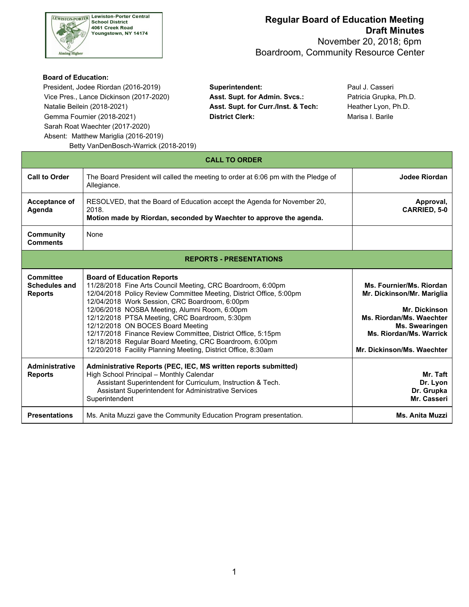

 November 20, 2018; 6pm Boardroom, Community Resource Center

#### **Board of Education:**

 President, Jodee Riordan (2016-2019) **Superintendent:** Paul J. Casseri Vice Pres., Lance Dickinson (2017-2020) **Asst. Supt. for Admin. Svcs.:** Patricia Grupka, Ph.D. Natalie Beilein (2018-2021) **Asst. Supt. for Curr./Inst. & Tech:** Heather Lyon, Ph.D. Gemma Fournier (2018-2021) **District Clerk: District Clerk:** Marisa I. Barile Sarah Roat Waechter (2017-2020) Absent: Matthew Mariglia (2016-2019) Betty VanDenBosch-Warrick (2018-2019)

|                                                            | Detty valiberiboscii-vvaliick (2016-2019)                                                                                                                                                                                                                                                                                                                                                                                                                                                                                                                     |                                                                                                                                                                                |  |  |  |  |  |  |
|------------------------------------------------------------|---------------------------------------------------------------------------------------------------------------------------------------------------------------------------------------------------------------------------------------------------------------------------------------------------------------------------------------------------------------------------------------------------------------------------------------------------------------------------------------------------------------------------------------------------------------|--------------------------------------------------------------------------------------------------------------------------------------------------------------------------------|--|--|--|--|--|--|
| <b>CALL TO ORDER</b>                                       |                                                                                                                                                                                                                                                                                                                                                                                                                                                                                                                                                               |                                                                                                                                                                                |  |  |  |  |  |  |
| <b>Call to Order</b>                                       | The Board President will called the meeting to order at 6:06 pm with the Pledge of<br>Allegiance.                                                                                                                                                                                                                                                                                                                                                                                                                                                             | Jodee Riordan                                                                                                                                                                  |  |  |  |  |  |  |
| Acceptance of<br>Agenda                                    | RESOLVED, that the Board of Education accept the Agenda for November 20,<br>2018.<br>Motion made by Riordan, seconded by Waechter to approve the agenda.                                                                                                                                                                                                                                                                                                                                                                                                      | Approval,<br>CARRIED, 5-0                                                                                                                                                      |  |  |  |  |  |  |
| <b>Community</b><br><b>Comments</b>                        | None                                                                                                                                                                                                                                                                                                                                                                                                                                                                                                                                                          |                                                                                                                                                                                |  |  |  |  |  |  |
|                                                            | <b>REPORTS - PRESENTATIONS</b>                                                                                                                                                                                                                                                                                                                                                                                                                                                                                                                                |                                                                                                                                                                                |  |  |  |  |  |  |
| <b>Committee</b><br><b>Schedules and</b><br><b>Reports</b> | <b>Board of Education Reports</b><br>11/28/2018 Fine Arts Council Meeting, CRC Boardroom, 6:00pm<br>12/04/2018 Policy Review Committee Meeting, District Office, 5:00pm<br>12/04/2018 Work Session, CRC Boardroom, 6:00pm<br>12/06/2018 NOSBA Meeting, Alumni Room, 6:00pm<br>12/12/2018 PTSA Meeting, CRC Boardroom, 5:30pm<br>12/12/2018 ON BOCES Board Meeting<br>12/17/2018 Finance Review Committee, District Office, 5:15pm<br>12/18/2018 Regular Board Meeting, CRC Boardroom, 6:00pm<br>12/20/2018 Facility Planning Meeting, District Office, 8:30am | Ms. Fournier/Ms. Riordan<br>Mr. Dickinson/Mr. Mariglia<br>Mr. Dickinson<br>Ms. Riordan/Ms. Waechter<br>Ms. Swearingen<br>Ms. Riordan/Ms. Warrick<br>Mr. Dickinson/Ms. Waechter |  |  |  |  |  |  |
| <b>Administrative</b><br><b>Reports</b>                    | Administrative Reports (PEC, IEC, MS written reports submitted)<br>High School Principal - Monthly Calendar<br>Assistant Superintendent for Curriculum, Instruction & Tech.<br>Assistant Superintendent for Administrative Services<br>Superintendent                                                                                                                                                                                                                                                                                                         | Mr. Taft<br>Dr. Lyon<br>Dr. Grupka<br>Mr. Casseri                                                                                                                              |  |  |  |  |  |  |
| <b>Presentations</b>                                       | Ms. Anita Muzzi gave the Community Education Program presentation.                                                                                                                                                                                                                                                                                                                                                                                                                                                                                            | <b>Ms. Anita Muzzi</b>                                                                                                                                                         |  |  |  |  |  |  |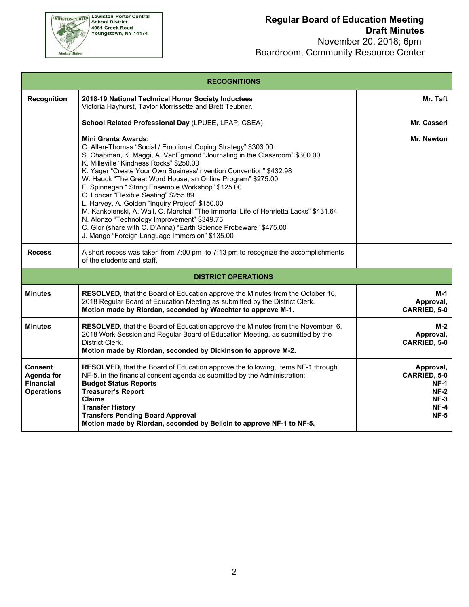

| <b>RECOGNITIONS</b>                                                          |                                                                                                                                                                                                                                                                                                                                                                                                                                                                                                                                                                                                                                                                                                                                                                       |                                                                                   |  |  |  |  |
|------------------------------------------------------------------------------|-----------------------------------------------------------------------------------------------------------------------------------------------------------------------------------------------------------------------------------------------------------------------------------------------------------------------------------------------------------------------------------------------------------------------------------------------------------------------------------------------------------------------------------------------------------------------------------------------------------------------------------------------------------------------------------------------------------------------------------------------------------------------|-----------------------------------------------------------------------------------|--|--|--|--|
| <b>Recognition</b>                                                           | 2018-19 National Technical Honor Society Inductees<br>Victoria Hayhurst, Taylor Morrissette and Brett Teubner.                                                                                                                                                                                                                                                                                                                                                                                                                                                                                                                                                                                                                                                        | Mr. Taft                                                                          |  |  |  |  |
|                                                                              | School Related Professional Day (LPUEE, LPAP, CSEA)                                                                                                                                                                                                                                                                                                                                                                                                                                                                                                                                                                                                                                                                                                                   | Mr. Casseri                                                                       |  |  |  |  |
|                                                                              | <b>Mini Grants Awards:</b><br>C. Allen-Thomas "Social / Emotional Coping Strategy" \$303.00<br>S. Chapman, K. Maggi, A. VanEgmond "Journaling in the Classroom" \$300.00<br>K. Milleville "Kindness Rocks" \$250.00<br>K. Yager "Create Your Own Business/Invention Convention" \$432.98<br>W. Hauck "The Great Word House, an Online Program" \$275.00<br>F. Spinnegan "String Ensemble Workshop" \$125.00<br>C. Loncar "Flexible Seating" \$255.89<br>L. Harvey, A. Golden "Inquiry Project" \$150.00<br>M. Kankolenski, A. Wall, C. Marshall "The Immortal Life of Henrietta Lacks" \$431.64<br>N. Alonzo "Technology Improvement" \$349.75<br>C. Glor (share with C. D'Anna) "Earth Science Probeware" \$475.00<br>J. Mango "Foreign Language Immersion" \$135.00 | Mr. Newton                                                                        |  |  |  |  |
| <b>Recess</b>                                                                | A short recess was taken from 7:00 pm to 7:13 pm to recognize the accomplishments<br>of the students and staff.                                                                                                                                                                                                                                                                                                                                                                                                                                                                                                                                                                                                                                                       |                                                                                   |  |  |  |  |
|                                                                              | <b>DISTRICT OPERATIONS</b>                                                                                                                                                                                                                                                                                                                                                                                                                                                                                                                                                                                                                                                                                                                                            |                                                                                   |  |  |  |  |
| <b>Minutes</b>                                                               | RESOLVED, that the Board of Education approve the Minutes from the October 16,<br>2018 Regular Board of Education Meeting as submitted by the District Clerk.<br>Motion made by Riordan, seconded by Waechter to approve M-1.                                                                                                                                                                                                                                                                                                                                                                                                                                                                                                                                         | M-1<br>Approval,<br>CARRIED, 5-0                                                  |  |  |  |  |
| <b>Minutes</b>                                                               | RESOLVED, that the Board of Education approve the Minutes from the November 6,<br>2018 Work Session and Regular Board of Education Meeting, as submitted by the<br>District Clerk.<br>Motion made by Riordan, seconded by Dickinson to approve M-2.                                                                                                                                                                                                                                                                                                                                                                                                                                                                                                                   | M-2<br>Approval,<br><b>CARRIED, 5-0</b>                                           |  |  |  |  |
| <b>Consent</b><br><b>Agenda for</b><br><b>Financial</b><br><b>Operations</b> | RESOLVED, that the Board of Education approve the following, Items NF-1 through<br>NF-5, in the financial consent agenda as submitted by the Administration:<br><b>Budget Status Reports</b><br><b>Treasurer's Report</b><br><b>Claims</b><br><b>Transfer History</b><br><b>Transfers Pending Board Approval</b><br>Motion made by Riordan, seconded by Beilein to approve NF-1 to NF-5.                                                                                                                                                                                                                                                                                                                                                                              | Approval,<br>CARRIED, 5-0<br>NF-1<br>$NF-2$<br><b>NF-3</b><br>NF-4<br><b>NF-5</b> |  |  |  |  |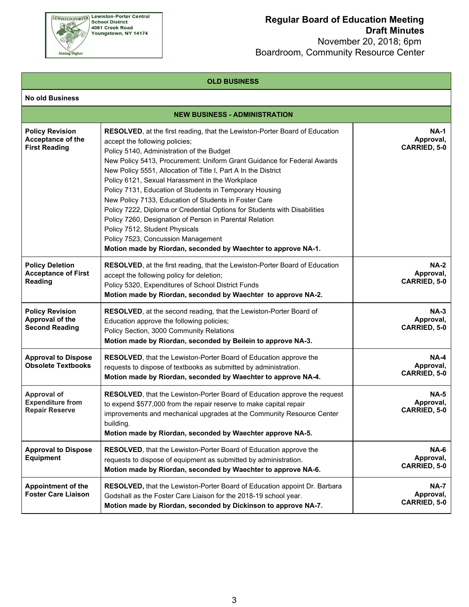

 November 20, 2018; 6pm Boardroom, Community Resource Center

#### **OLD BUSINESS**

| <b>No old Business</b>                                                 |                                                                                                                                                                                                                                                                                                             |                                                 |
|------------------------------------------------------------------------|-------------------------------------------------------------------------------------------------------------------------------------------------------------------------------------------------------------------------------------------------------------------------------------------------------------|-------------------------------------------------|
|                                                                        | <b>NEW BUSINESS - ADMINISTRATION</b>                                                                                                                                                                                                                                                                        |                                                 |
| <b>Policy Revision</b><br>Acceptance of the<br><b>First Reading</b>    | <b>NA-1</b><br>Approval,<br>CARRIED, 5-0                                                                                                                                                                                                                                                                    |                                                 |
| <b>Policy Deletion</b><br><b>Acceptance of First</b><br>Reading        | <b>RESOLVED</b> , at the first reading, that the Lewiston-Porter Board of Education<br>accept the following policy for deletion;<br>Policy 5320, Expenditures of School District Funds<br>Motion made by Riordan, seconded by Waechter to approve NA-2.                                                     | <b>NA-2</b><br>Approval,<br><b>CARRIED, 5-0</b> |
| <b>Policy Revision</b><br>Approval of the<br><b>Second Reading</b>     | RESOLVED, at the second reading, that the Lewiston-Porter Board of<br>Education approve the following policies;<br>Policy Section, 3000 Community Relations<br>Motion made by Riordan, seconded by Beilein to approve NA-3.                                                                                 | $NA-3$<br>Approval,<br><b>CARRIED, 5-0</b>      |
| <b>Approval to Dispose</b><br><b>Obsolete Textbooks</b>                | RESOLVED, that the Lewiston-Porter Board of Education approve the<br>requests to dispose of textbooks as submitted by administration.<br>Motion made by Riordan, seconded by Waechter to approve NA-4.                                                                                                      | $NA-4$<br>Approval,<br><b>CARRIED, 5-0</b>      |
| <b>Approval of</b><br><b>Expenditure from</b><br><b>Repair Reserve</b> | <b>RESOLVED</b> , that the Lewiston-Porter Board of Education approve the request<br>to expend \$577,000 from the repair reserve to make capital repair<br>improvements and mechanical upgrades at the Community Resource Center<br>building.<br>Motion made by Riordan, seconded by Waechter approve NA-5. | <b>NA-5</b><br>Approval,<br><b>CARRIED, 5-0</b> |
| <b>Approval to Dispose</b><br><b>Equipment</b>                         | RESOLVED, that the Lewiston-Porter Board of Education approve the<br>requests to dispose of equipment as submitted by administration.<br>Motion made by Riordan, seconded by Waechter to approve NA-6.                                                                                                      | <b>NA-6</b><br>Approval,<br>CARRIED, 5-0        |
| <b>Appointment of the</b><br><b>Foster Care Liaison</b>                | RESOLVED, that the Lewiston-Porter Board of Education appoint Dr. Barbara<br>Godshall as the Foster Care Liaison for the 2018-19 school year.<br>Motion made by Riordan, seconded by Dickinson to approve NA-7.                                                                                             | <b>NA-7</b><br>Approval,<br>CARRIED, 5-0        |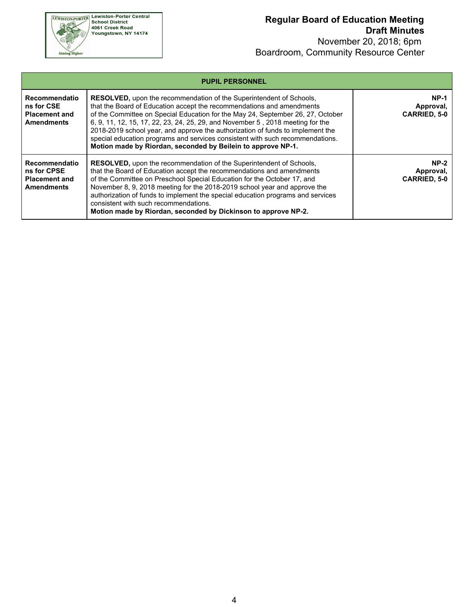

| <b>PUPIL PERSONNEL</b>                                                    |                                                                                                                                                                                                                                                                                                                                                                                                                                                                                                                                                             |                                                 |  |  |  |  |
|---------------------------------------------------------------------------|-------------------------------------------------------------------------------------------------------------------------------------------------------------------------------------------------------------------------------------------------------------------------------------------------------------------------------------------------------------------------------------------------------------------------------------------------------------------------------------------------------------------------------------------------------------|-------------------------------------------------|--|--|--|--|
| Recommendatio<br>ns for CSE<br><b>Placement and</b><br><b>Amendments</b>  | <b>RESOLVED, upon the recommendation of the Superintendent of Schools,</b><br>that the Board of Education accept the recommendations and amendments<br>of the Committee on Special Education for the May 24, September 26, 27, October<br>6, 9, 11, 12, 15, 17, 22, 23, 24, 25, 29, and November 5, 2018 meeting for the<br>2018-2019 school year, and approve the authorization of funds to implement the<br>special education programs and services consistent with such recommendations.<br>Motion made by Riordan, seconded by Beilein to approve NP-1. | <b>NP-1</b><br>Approval,<br><b>CARRIED, 5-0</b> |  |  |  |  |
| Recommendatio<br>ns for CPSE<br><b>Placement and</b><br><b>Amendments</b> | <b>RESOLVED, upon the recommendation of the Superintendent of Schools,</b><br>that the Board of Education accept the recommendations and amendments<br>of the Committee on Preschool Special Education for the October 17, and<br>November 8, 9, 2018 meeting for the 2018-2019 school year and approve the<br>authorization of funds to implement the special education programs and services<br>consistent with such recommendations.<br>Motion made by Riordan, seconded by Dickinson to approve NP-2.                                                   | $NP-2$<br>Approval,<br><b>CARRIED, 5-0</b>      |  |  |  |  |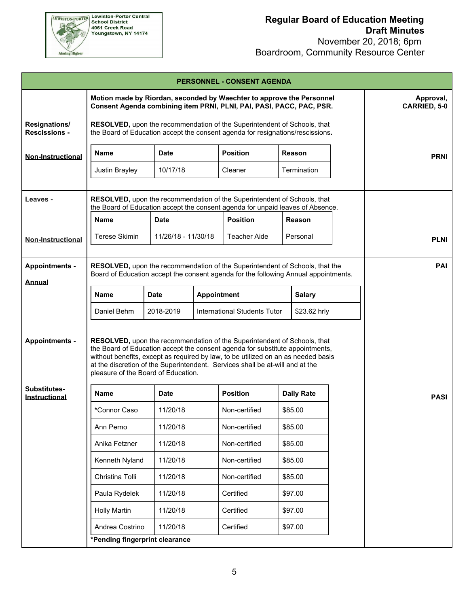

| <b>PERSONNEL - CONSENT AGENDA</b>            |                                                                                                                                                                                                                                                                                                                                                                        |                           |  |                                                                                                                                                                     |                   |               |  |             |
|----------------------------------------------|------------------------------------------------------------------------------------------------------------------------------------------------------------------------------------------------------------------------------------------------------------------------------------------------------------------------------------------------------------------------|---------------------------|--|---------------------------------------------------------------------------------------------------------------------------------------------------------------------|-------------------|---------------|--|-------------|
|                                              | Motion made by Riordan, seconded by Waechter to approve the Personnel<br>Consent Agenda combining item PRNI, PLNI, PAI, PASI, PACC, PAC, PSR.                                                                                                                                                                                                                          | Approval,<br>CARRIED, 5-0 |  |                                                                                                                                                                     |                   |               |  |             |
| <b>Resignations/</b><br><b>Rescissions -</b> | RESOLVED, upon the recommendation of the Superintendent of Schools, that<br>the Board of Education accept the consent agenda for resignations/rescissions.                                                                                                                                                                                                             |                           |  |                                                                                                                                                                     |                   |               |  |             |
| <b>Non-Instructional</b>                     | <b>Name</b>                                                                                                                                                                                                                                                                                                                                                            | <b>Date</b>               |  | <b>Position</b>                                                                                                                                                     |                   | Reason        |  | <b>PRNI</b> |
|                                              | Justin Brayley                                                                                                                                                                                                                                                                                                                                                         | 10/17/18                  |  | Cleaner                                                                                                                                                             |                   | Termination   |  |             |
|                                              |                                                                                                                                                                                                                                                                                                                                                                        |                           |  |                                                                                                                                                                     |                   |               |  |             |
| Leaves -                                     | RESOLVED, upon the recommendation of the Superintendent of Schools, that<br>the Board of Education accept the consent agenda for unpaid leaves of Absence.                                                                                                                                                                                                             |                           |  |                                                                                                                                                                     |                   |               |  |             |
|                                              | Name                                                                                                                                                                                                                                                                                                                                                                   | <b>Date</b>               |  | <b>Position</b>                                                                                                                                                     |                   | <b>Reason</b> |  |             |
| <b>Non-Instructional</b>                     | <b>Terese Skimin</b>                                                                                                                                                                                                                                                                                                                                                   | 11/26/18 - 11/30/18       |  | <b>Teacher Aide</b>                                                                                                                                                 |                   | Personal      |  | <b>PLNI</b> |
|                                              |                                                                                                                                                                                                                                                                                                                                                                        |                           |  |                                                                                                                                                                     |                   |               |  |             |
| <b>Appointments -</b>                        |                                                                                                                                                                                                                                                                                                                                                                        |                           |  | RESOLVED, upon the recommendation of the Superintendent of Schools, that the<br>Board of Education accept the consent agenda for the following Annual appointments. |                   |               |  | <b>PAI</b>  |
| Annual                                       |                                                                                                                                                                                                                                                                                                                                                                        | <b>Appointment</b>        |  |                                                                                                                                                                     |                   |               |  |             |
|                                              | <b>Name</b>                                                                                                                                                                                                                                                                                                                                                            | <b>Date</b>               |  |                                                                                                                                                                     |                   | <b>Salary</b> |  |             |
|                                              | Daniel Behm<br>2018-2019<br>International Students Tutor<br>\$23.62 hrly                                                                                                                                                                                                                                                                                               |                           |  |                                                                                                                                                                     |                   |               |  |             |
| <b>Appointments -</b>                        | RESOLVED, upon the recommendation of the Superintendent of Schools, that<br>the Board of Education accept the consent agenda for substitute appointments,<br>without benefits, except as required by law, to be utilized on an as needed basis<br>at the discretion of the Superintendent. Services shall be at-will and at the<br>pleasure of the Board of Education. |                           |  |                                                                                                                                                                     |                   |               |  |             |
| Substitutes-<br>Instructional                | Name                                                                                                                                                                                                                                                                                                                                                                   | <b>Date</b>               |  | <b>Position</b>                                                                                                                                                     | <b>Daily Rate</b> |               |  | <b>PASI</b> |
|                                              | *Connor Caso                                                                                                                                                                                                                                                                                                                                                           | 11/20/18                  |  | Non-certified                                                                                                                                                       | \$85.00           |               |  |             |
|                                              | Ann Perno                                                                                                                                                                                                                                                                                                                                                              | 11/20/18                  |  | Non-certified                                                                                                                                                       | \$85.00           |               |  |             |
|                                              | Anika Fetzner                                                                                                                                                                                                                                                                                                                                                          | 11/20/18                  |  | Non-certified                                                                                                                                                       | \$85.00           |               |  |             |
|                                              | Kenneth Nyland                                                                                                                                                                                                                                                                                                                                                         | 11/20/18                  |  | Non-certified                                                                                                                                                       | \$85.00           |               |  |             |
|                                              | Christina Tolli                                                                                                                                                                                                                                                                                                                                                        | 11/20/18                  |  | Non-certified                                                                                                                                                       | \$85.00           |               |  |             |
|                                              | Paula Rydelek                                                                                                                                                                                                                                                                                                                                                          | 11/20/18                  |  | Certified                                                                                                                                                           | \$97.00           |               |  |             |
|                                              | <b>Holly Martin</b>                                                                                                                                                                                                                                                                                                                                                    | 11/20/18                  |  | Certified<br>\$97.00                                                                                                                                                |                   |               |  |             |
|                                              | Andrea Costrino<br>11/20/18<br>Certified<br>\$97.00                                                                                                                                                                                                                                                                                                                    |                           |  |                                                                                                                                                                     |                   |               |  |             |
|                                              | *Pending fingerprint clearance                                                                                                                                                                                                                                                                                                                                         |                           |  |                                                                                                                                                                     |                   |               |  |             |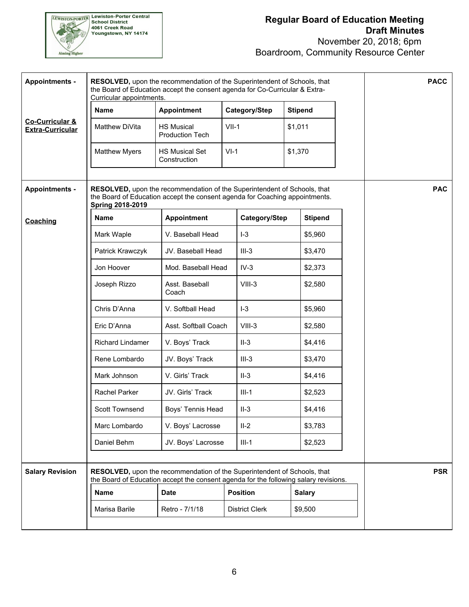

| <b>Appointments -</b>                                 | RESOLVED, upon the recommendation of the Superintendent of Schools, that<br>the Board of Education accept the consent agenda for Co-Curricular & Extra-<br>Curricular appointments. |                                                                                                                                                                  |         |                 |                                  |                |  | <b>PACC</b> |
|-------------------------------------------------------|-------------------------------------------------------------------------------------------------------------------------------------------------------------------------------------|------------------------------------------------------------------------------------------------------------------------------------------------------------------|---------|-----------------|----------------------------------|----------------|--|-------------|
|                                                       | <b>Name</b>                                                                                                                                                                         | <b>Appointment</b>                                                                                                                                               |         | Category/Step   |                                  | <b>Stipend</b> |  |             |
| <b>Co-Curricular &amp;</b><br><b>Extra-Curricular</b> | Matthew DiVita                                                                                                                                                                      | <b>HS Musical</b><br><b>Production Tech</b>                                                                                                                      | $VII-1$ |                 |                                  | \$1,011        |  |             |
|                                                       | <b>Matthew Myers</b>                                                                                                                                                                | <b>HS Musical Set</b><br>Construction                                                                                                                            | $VI-1$  |                 | \$1,370                          |                |  |             |
| <b>Appointments -</b>                                 | RESOLVED, upon the recommendation of the Superintendent of Schools, that<br>the Board of Education accept the consent agenda for Coaching appointments.<br><b>Spring 2018-2019</b>  |                                                                                                                                                                  |         |                 |                                  |                |  | <b>PAC</b>  |
| Coaching                                              | <b>Name</b>                                                                                                                                                                         | <b>Appointment</b>                                                                                                                                               |         | Category/Step   |                                  | <b>Stipend</b> |  |             |
|                                                       | Mark Waple                                                                                                                                                                          | V. Baseball Head                                                                                                                                                 |         | $I-3$           |                                  | \$5,960        |  |             |
|                                                       | Patrick Krawczyk                                                                                                                                                                    | JV. Baseball Head                                                                                                                                                |         | $III-3$         |                                  | \$3,470        |  |             |
|                                                       | Jon Hoover                                                                                                                                                                          | Mod. Baseball Head                                                                                                                                               |         | $IV-3$          |                                  | \$2,373        |  |             |
|                                                       | Joseph Rizzo                                                                                                                                                                        | Asst. Baseball<br>Coach                                                                                                                                          |         | $VIII-3$        |                                  | \$2,580        |  |             |
|                                                       | Chris D'Anna                                                                                                                                                                        | V. Softball Head                                                                                                                                                 |         | $I-3$           |                                  | \$5,960        |  |             |
|                                                       | Eric D'Anna                                                                                                                                                                         | Asst. Softball Coach                                                                                                                                             |         | $VIII-3$        |                                  | \$2,580        |  |             |
|                                                       | Richard Lindamer                                                                                                                                                                    | V. Boys' Track                                                                                                                                                   |         | $II-3$          |                                  | \$4,416        |  |             |
|                                                       | Rene Lombardo                                                                                                                                                                       | JV. Boys' Track                                                                                                                                                  |         | $III-3$         |                                  | \$3,470        |  |             |
|                                                       | Mark Johnson                                                                                                                                                                        | V. Girls' Track                                                                                                                                                  |         | $II-3$          |                                  | \$4,416        |  |             |
|                                                       | Rachel Parker                                                                                                                                                                       | JV. Girls' Track                                                                                                                                                 |         | $III-1$         |                                  | \$2,523        |  |             |
|                                                       | <b>Scott Townsend</b>                                                                                                                                                               | Boys' Tennis Head                                                                                                                                                |         | $II-3$          |                                  | \$4,416        |  |             |
|                                                       | Marc Lombardo                                                                                                                                                                       | V. Boys' Lacrosse                                                                                                                                                |         | $II-2$          |                                  | \$3,783        |  |             |
|                                                       | Daniel Behm                                                                                                                                                                         | JV. Boys' Lacrosse                                                                                                                                               |         | $III-1$         |                                  | \$2,523        |  |             |
| <b>Salary Revision</b>                                |                                                                                                                                                                                     | RESOLVED, upon the recommendation of the Superintendent of Schools, that<br>the Board of Education accept the consent agenda for the following salary revisions. |         |                 |                                  |                |  | <b>PSR</b>  |
|                                                       | <b>Name</b>                                                                                                                                                                         | <b>Date</b>                                                                                                                                                      |         | <b>Position</b> |                                  | <b>Salary</b>  |  |             |
|                                                       | Marisa Barile                                                                                                                                                                       | Retro - 7/1/18                                                                                                                                                   |         |                 | <b>District Clerk</b><br>\$9,500 |                |  |             |
|                                                       |                                                                                                                                                                                     |                                                                                                                                                                  |         |                 |                                  |                |  |             |